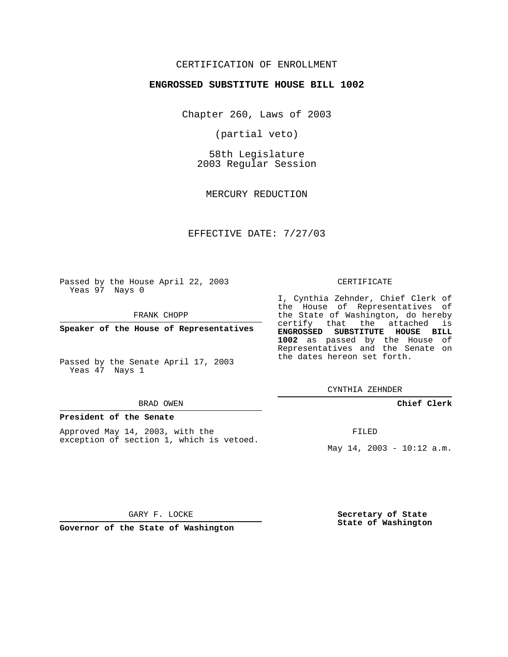# CERTIFICATION OF ENROLLMENT

## **ENGROSSED SUBSTITUTE HOUSE BILL 1002**

Chapter 260, Laws of 2003

(partial veto)

58th Legislature 2003 Regular Session

MERCURY REDUCTION

# EFFECTIVE DATE: 7/27/03

Passed by the House April 22, 2003 Yeas 97 Nays 0

FRANK CHOPP

**Speaker of the House of Representatives**

Passed by the Senate April 17, 2003 Yeas 47 Nays 1

#### BRAD OWEN

#### **President of the Senate**

Approved May 14, 2003, with the exception of section 1, which is vetoed.

#### CERTIFICATE

I, Cynthia Zehnder, Chief Clerk of the House of Representatives of the State of Washington, do hereby certify that the attached is **ENGROSSED SUBSTITUTE HOUSE BILL 1002** as passed by the House of Representatives and the Senate on the dates hereon set forth.

CYNTHIA ZEHNDER

## **Chief Clerk**

FILED

May  $14$ ,  $2003 - 10:12$  a.m.

GARY F. LOCKE

**Governor of the State of Washington**

**Secretary of State State of Washington**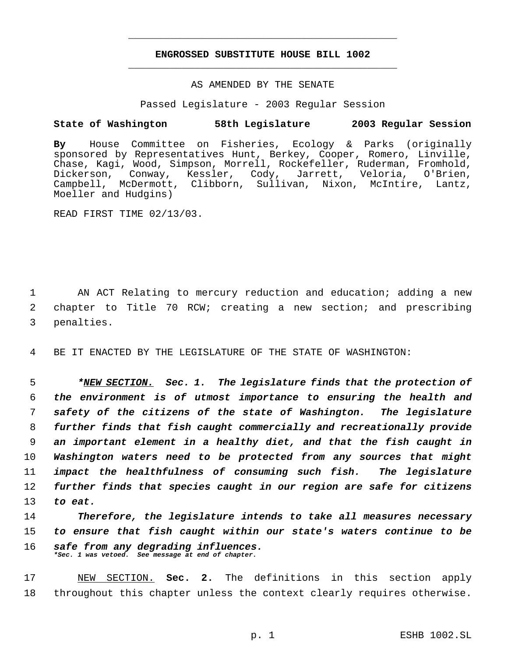# **ENGROSSED SUBSTITUTE HOUSE BILL 1002** \_\_\_\_\_\_\_\_\_\_\_\_\_\_\_\_\_\_\_\_\_\_\_\_\_\_\_\_\_\_\_\_\_\_\_\_\_\_\_\_\_\_\_\_\_

\_\_\_\_\_\_\_\_\_\_\_\_\_\_\_\_\_\_\_\_\_\_\_\_\_\_\_\_\_\_\_\_\_\_\_\_\_\_\_\_\_\_\_\_\_

## AS AMENDED BY THE SENATE

Passed Legislature - 2003 Regular Session

# **State of Washington 58th Legislature 2003 Regular Session**

**By** House Committee on Fisheries, Ecology & Parks (originally sponsored by Representatives Hunt, Berkey, Cooper, Romero, Linville, Chase, Kagi, Wood, Simpson, Morrell, Rockefeller, Ruderman, Fromhold,<br>Dickerson, Conway, Kessler, Cody, Jarrett, Veloria, O'Brien, Dickerson, Conway, Kessler, Cody, Jarrett, Veloria, O'Brien, Campbell, McDermott, Clibborn, Sullivan, Nixon, McIntire, Lantz, Moeller and Hudgins)

READ FIRST TIME 02/13/03.

 1 AN ACT Relating to mercury reduction and education; adding a new 2 chapter to Title 70 RCW; creating a new section; and prescribing 3 penalties.

4 BE IT ENACTED BY THE LEGISLATURE OF THE STATE OF WASHINGTON:

 *\*NEW SECTION. Sec. 1. The legislature finds that the protection of the environment is of utmost importance to ensuring the health and safety of the citizens of the state of Washington. The legislature further finds that fish caught commercially and recreationally provide an important element in a healthy diet, and that the fish caught in Washington waters need to be protected from any sources that might impact the healthfulness of consuming such fish. The legislature further finds that species caught in our region are safe for citizens* 13 *to eat.*

14 *Therefore, the legislature intends to take all measures necessary* 15 *to ensure that fish caught within our state's waters continue to be* 16 *safe from any degrading influences. \*Sec. 1 was vetoed. See message at end of chapter.*

17 NEW SECTION. **Sec. 2.** The definitions in this section apply 18 throughout this chapter unless the context clearly requires otherwise.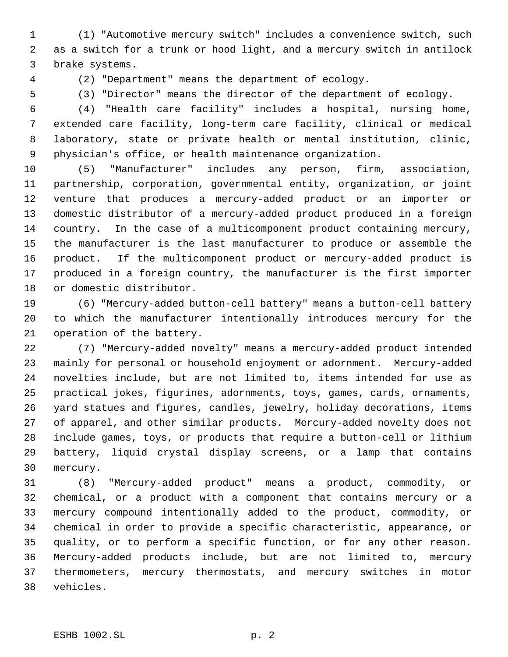(1) "Automotive mercury switch" includes a convenience switch, such as a switch for a trunk or hood light, and a mercury switch in antilock brake systems.

(2) "Department" means the department of ecology.

(3) "Director" means the director of the department of ecology.

 (4) "Health care facility" includes a hospital, nursing home, extended care facility, long-term care facility, clinical or medical laboratory, state or private health or mental institution, clinic, physician's office, or health maintenance organization.

 (5) "Manufacturer" includes any person, firm, association, partnership, corporation, governmental entity, organization, or joint venture that produces a mercury-added product or an importer or domestic distributor of a mercury-added product produced in a foreign country. In the case of a multicomponent product containing mercury, the manufacturer is the last manufacturer to produce or assemble the product. If the multicomponent product or mercury-added product is produced in a foreign country, the manufacturer is the first importer or domestic distributor.

 (6) "Mercury-added button-cell battery" means a button-cell battery to which the manufacturer intentionally introduces mercury for the operation of the battery.

 (7) "Mercury-added novelty" means a mercury-added product intended mainly for personal or household enjoyment or adornment. Mercury-added novelties include, but are not limited to, items intended for use as practical jokes, figurines, adornments, toys, games, cards, ornaments, yard statues and figures, candles, jewelry, holiday decorations, items of apparel, and other similar products. Mercury-added novelty does not include games, toys, or products that require a button-cell or lithium battery, liquid crystal display screens, or a lamp that contains mercury.

 (8) "Mercury-added product" means a product, commodity, or chemical, or a product with a component that contains mercury or a mercury compound intentionally added to the product, commodity, or chemical in order to provide a specific characteristic, appearance, or quality, or to perform a specific function, or for any other reason. Mercury-added products include, but are not limited to, mercury thermometers, mercury thermostats, and mercury switches in motor vehicles.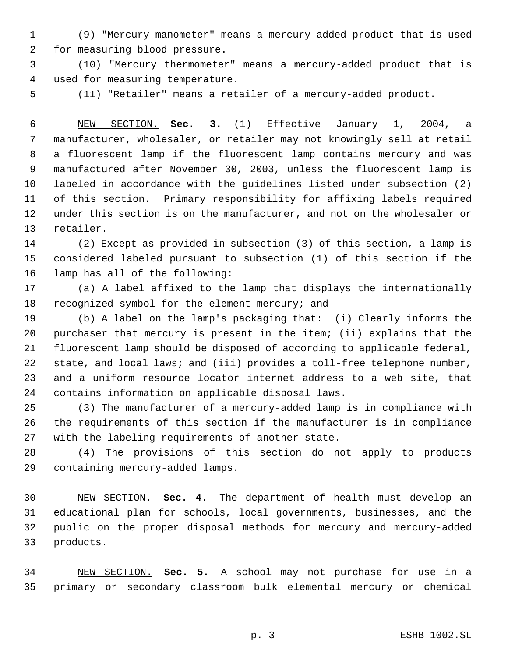(9) "Mercury manometer" means a mercury-added product that is used for measuring blood pressure.

 (10) "Mercury thermometer" means a mercury-added product that is used for measuring temperature.

(11) "Retailer" means a retailer of a mercury-added product.

 NEW SECTION. **Sec. 3.** (1) Effective January 1, 2004, a manufacturer, wholesaler, or retailer may not knowingly sell at retail a fluorescent lamp if the fluorescent lamp contains mercury and was manufactured after November 30, 2003, unless the fluorescent lamp is labeled in accordance with the guidelines listed under subsection (2) of this section. Primary responsibility for affixing labels required under this section is on the manufacturer, and not on the wholesaler or retailer.

 (2) Except as provided in subsection (3) of this section, a lamp is considered labeled pursuant to subsection (1) of this section if the lamp has all of the following:

 (a) A label affixed to the lamp that displays the internationally 18 recognized symbol for the element mercury; and

 (b) A label on the lamp's packaging that: (i) Clearly informs the purchaser that mercury is present in the item; (ii) explains that the fluorescent lamp should be disposed of according to applicable federal, 22 state, and local laws; and (iii) provides a toll-free telephone number, and a uniform resource locator internet address to a web site, that contains information on applicable disposal laws.

 (3) The manufacturer of a mercury-added lamp is in compliance with the requirements of this section if the manufacturer is in compliance with the labeling requirements of another state.

 (4) The provisions of this section do not apply to products containing mercury-added lamps.

 NEW SECTION. **Sec. 4.** The department of health must develop an educational plan for schools, local governments, businesses, and the public on the proper disposal methods for mercury and mercury-added products.

 NEW SECTION. **Sec. 5.** A school may not purchase for use in a primary or secondary classroom bulk elemental mercury or chemical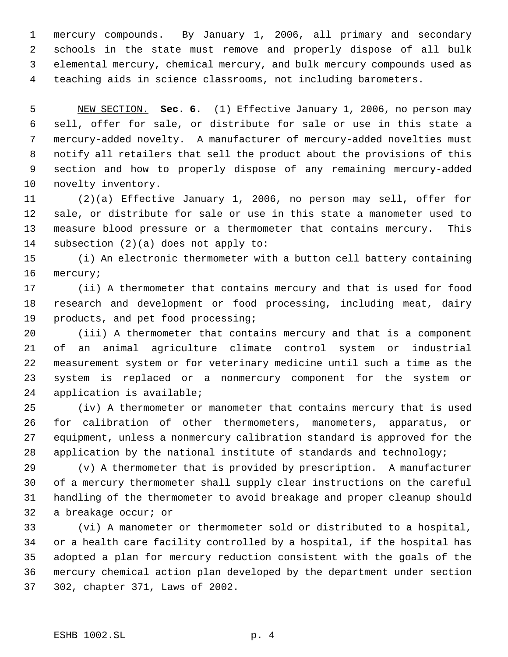mercury compounds. By January 1, 2006, all primary and secondary schools in the state must remove and properly dispose of all bulk elemental mercury, chemical mercury, and bulk mercury compounds used as teaching aids in science classrooms, not including barometers.

 NEW SECTION. **Sec. 6.** (1) Effective January 1, 2006, no person may sell, offer for sale, or distribute for sale or use in this state a mercury-added novelty. A manufacturer of mercury-added novelties must notify all retailers that sell the product about the provisions of this section and how to properly dispose of any remaining mercury-added novelty inventory.

 (2)(a) Effective January 1, 2006, no person may sell, offer for sale, or distribute for sale or use in this state a manometer used to measure blood pressure or a thermometer that contains mercury. This subsection (2)(a) does not apply to:

 (i) An electronic thermometer with a button cell battery containing mercury;

 (ii) A thermometer that contains mercury and that is used for food research and development or food processing, including meat, dairy products, and pet food processing;

 (iii) A thermometer that contains mercury and that is a component of an animal agriculture climate control system or industrial measurement system or for veterinary medicine until such a time as the system is replaced or a nonmercury component for the system or application is available;

 (iv) A thermometer or manometer that contains mercury that is used for calibration of other thermometers, manometers, apparatus, or equipment, unless a nonmercury calibration standard is approved for the application by the national institute of standards and technology;

 (v) A thermometer that is provided by prescription. A manufacturer of a mercury thermometer shall supply clear instructions on the careful handling of the thermometer to avoid breakage and proper cleanup should a breakage occur; or

 (vi) A manometer or thermometer sold or distributed to a hospital, or a health care facility controlled by a hospital, if the hospital has adopted a plan for mercury reduction consistent with the goals of the mercury chemical action plan developed by the department under section 302, chapter 371, Laws of 2002.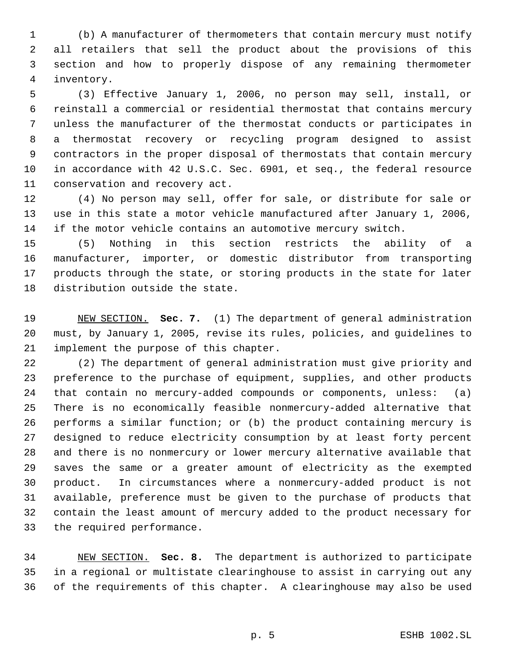(b) A manufacturer of thermometers that contain mercury must notify all retailers that sell the product about the provisions of this section and how to properly dispose of any remaining thermometer inventory.

 (3) Effective January 1, 2006, no person may sell, install, or reinstall a commercial or residential thermostat that contains mercury unless the manufacturer of the thermostat conducts or participates in a thermostat recovery or recycling program designed to assist contractors in the proper disposal of thermostats that contain mercury in accordance with 42 U.S.C. Sec. 6901, et seq., the federal resource conservation and recovery act.

 (4) No person may sell, offer for sale, or distribute for sale or use in this state a motor vehicle manufactured after January 1, 2006, if the motor vehicle contains an automotive mercury switch.

 (5) Nothing in this section restricts the ability of a manufacturer, importer, or domestic distributor from transporting products through the state, or storing products in the state for later distribution outside the state.

 NEW SECTION. **Sec. 7.** (1) The department of general administration must, by January 1, 2005, revise its rules, policies, and guidelines to implement the purpose of this chapter.

 (2) The department of general administration must give priority and preference to the purchase of equipment, supplies, and other products that contain no mercury-added compounds or components, unless: (a) There is no economically feasible nonmercury-added alternative that performs a similar function; or (b) the product containing mercury is designed to reduce electricity consumption by at least forty percent and there is no nonmercury or lower mercury alternative available that saves the same or a greater amount of electricity as the exempted product. In circumstances where a nonmercury-added product is not available, preference must be given to the purchase of products that contain the least amount of mercury added to the product necessary for the required performance.

 NEW SECTION. **Sec. 8.** The department is authorized to participate in a regional or multistate clearinghouse to assist in carrying out any of the requirements of this chapter. A clearinghouse may also be used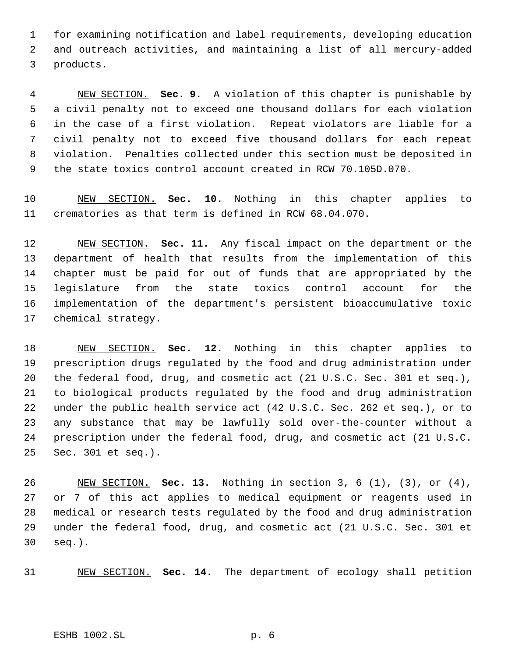for examining notification and label requirements, developing education and outreach activities, and maintaining a list of all mercury-added products.

 NEW SECTION. **Sec. 9.** A violation of this chapter is punishable by a civil penalty not to exceed one thousand dollars for each violation in the case of a first violation. Repeat violators are liable for a civil penalty not to exceed five thousand dollars for each repeat violation. Penalties collected under this section must be deposited in the state toxics control account created in RCW 70.105D.070.

 NEW SECTION. **Sec. 10.** Nothing in this chapter applies to crematories as that term is defined in RCW 68.04.070.

 NEW SECTION. **Sec. 11.** Any fiscal impact on the department or the department of health that results from the implementation of this chapter must be paid for out of funds that are appropriated by the legislature from the state toxics control account for the implementation of the department's persistent bioaccumulative toxic chemical strategy.

 NEW SECTION. **Sec. 12.** Nothing in this chapter applies to prescription drugs regulated by the food and drug administration under the federal food, drug, and cosmetic act (21 U.S.C. Sec. 301 et seq.), to biological products regulated by the food and drug administration under the public health service act (42 U.S.C. Sec. 262 et seq.), or to any substance that may be lawfully sold over-the-counter without a prescription under the federal food, drug, and cosmetic act (21 U.S.C. Sec. 301 et seq.).

 NEW SECTION. **Sec. 13.** Nothing in section 3, 6 (1), (3), or (4), or 7 of this act applies to medical equipment or reagents used in medical or research tests regulated by the food and drug administration under the federal food, drug, and cosmetic act (21 U.S.C. Sec. 301 et seq.).

NEW SECTION. **Sec. 14.** The department of ecology shall petition